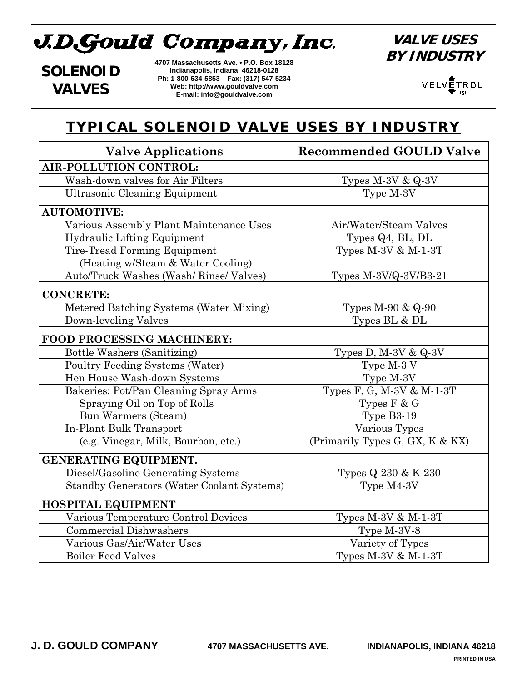# J.D.Gould Company, Inc.

**VALVE USES BY INDUSTRY**

**SOLENOID VALVES**

**4707 Massachusetts Ave. • P.O. Box 18128 Indianapolis, Indiana 46218-0128 Ph: 1-800-634-5853 Fax: (317) 547-5234 Web: http://www.gouldvalve.com E-mail: info@gouldvalve.com**

VELVETROL  $\circledR$ 

#### **TYPICAL SOLENOID VALVE USES BY INDUSTRY**

| <b>Valve Applications</b>                         | <b>Recommended GOULD Valve</b>  |
|---------------------------------------------------|---------------------------------|
| <b>AIR-POLLUTION CONTROL:</b>                     |                                 |
| Wash-down valves for Air Filters                  | Types M-3V & Q-3V               |
| <b>Ultrasonic Cleaning Equipment</b>              | Type M-3V                       |
| <b>AUTOMOTIVE:</b>                                |                                 |
| Various Assembly Plant Maintenance Uses           | Air/Water/Steam Valves          |
| <b>Hydraulic Lifting Equipment</b>                | Types Q4, BL, DL                |
| Tire-Tread Forming Equipment                      | Types $M-3V$ & $M-1-3T$         |
| (Heating w/Steam & Water Cooling)                 |                                 |
| Auto/Truck Washes (Wash/ Rinse/ Valves)           | Types M-3V/Q-3V/B3-21           |
| <b>CONCRETE:</b>                                  |                                 |
| Metered Batching Systems (Water Mixing)           | Types $M-90 & Q-90$             |
| Down-leveling Valves                              | Types BL & DL                   |
| FOOD PROCESSING MACHINERY:                        |                                 |
| Bottle Washers (Sanitizing)                       | Types D, M-3V $& Q-3V$          |
| Poultry Feeding Systems (Water)                   | Type M-3 V                      |
| Hen House Wash-down Systems                       | Type M-3V                       |
| Bakeries: Pot/Pan Cleaning Spray Arms             | Types F, G, M-3V & M-1-3T       |
| Spraying Oil on Top of Rolls                      | Types $F & G$                   |
| Bun Warmers (Steam)                               | Type B3-19                      |
| In-Plant Bulk Transport                           | Various Types                   |
| (e.g. Vinegar, Milk, Bourbon, etc.)               | (Primarily Types G, GX, K & KX) |
| GENERATING EQUIPMENT.                             |                                 |
| Diesel/Gasoline Generating Systems                | Types Q-230 & K-230             |
| <b>Standby Generators (Water Coolant Systems)</b> | Type M4-3V                      |
| <b>HOSPITAL EQUIPMENT</b>                         |                                 |
| Various Temperature Control Devices               | Types $M-3V$ & $M-1-3T$         |
| <b>Commercial Dishwashers</b>                     | Type M-3V-8                     |
| Various Gas/Air/Water Uses                        | Variety of Types                |
| <b>Boiler Feed Valves</b>                         | Types $M-3V$ & $M-1-3T$         |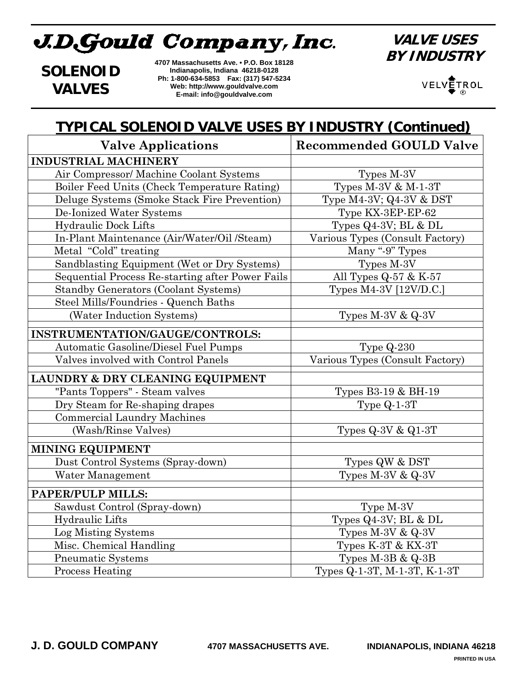# J.D.Gould Company, Inc.

**VALVE USES BY INDUSTRY**

**SOLENOID VALVES**

**4707 Massachusetts Ave. • P.O. Box 18128 Indianapolis, Indiana 46218-0128 Ph: 1-800-634-5853 Fax: (317) 547-5234 Web: http://www.gouldvalve.com E-mail: info@gouldvalve.com**

VELVETROL ®

## **TYPICAL SOLENOID VALVE USES BY INDUSTRY (Continued)**

| <b>Valve Applications</b>                        | <b>Recommended GOULD Valve</b>  |
|--------------------------------------------------|---------------------------------|
| <b>INDUSTRIAL MACHINERY</b>                      |                                 |
| Air Compressor/ Machine Coolant Systems          | Types M-3V                      |
| Boiler Feed Units (Check Temperature Rating)     | Types $M-3V$ & $M-1-3T$         |
| Deluge Systems (Smoke Stack Fire Prevention)     | Type M4-3V; Q4-3V & DST         |
| De-Ionized Water Systems                         | Type KX-3EP-EP-62               |
| Hydraulic Dock Lifts                             | Types $Q4-3V$ ; BL & DL         |
| In-Plant Maintenance (Air/Water/Oil /Steam)      | Various Types (Consult Factory) |
| Metal "Cold" treating                            | Many "-9" Types                 |
| Sandblasting Equipment (Wet or Dry Systems)      | Types M-3V                      |
| Sequential Process Re-starting after Power Fails | All Types $Q-57$ & K-57         |
| <b>Standby Generators (Coolant Systems)</b>      | Types M4-3V [12V/D.C.]          |
| Steel Mills/Foundries - Quench Baths             |                                 |
| (Water Induction Systems)                        | Types $M-3V & Q-3V$             |
| INSTRUMENTATION/GAUGE/CONTROLS:                  |                                 |
| Automatic Gasoline/Diesel Fuel Pumps             | Type $Q-230$                    |
| Valves involved with Control Panels              | Various Types (Consult Factory) |
| LAUNDRY & DRY CLEANING EQUIPMENT                 |                                 |
| "Pants Toppers" - Steam valves                   | Types B3-19 & BH-19             |
| Dry Steam for Re-shaping drapes                  | Type $Q-1-3T$                   |
| <b>Commercial Laundry Machines</b>               |                                 |
| (Wash/Rinse Valves)                              | Types $Q-3V & Q1-3T$            |
| <b>MINING EQUIPMENT</b>                          |                                 |
| Dust Control Systems (Spray-down)                | Types QW & DST                  |
| Water Management                                 | Types $M-3V & Q-3V$             |
| PAPER/PULP MILLS:                                |                                 |
| Sawdust Control (Spray-down)                     | Type M-3V                       |
| Hydraulic Lifts                                  | Types $Q4-3V$ ; BL & DL         |
| Log Misting Systems                              | Types $M-3V & Q-3V$             |
| Misc. Chemical Handling                          | Types K-3T & KX-3T              |
| <b>Pneumatic Systems</b>                         | Types $M-3B & Q-3B$             |
| <b>Process Heating</b>                           | Types Q-1-3T, M-1-3T, K-1-3T    |